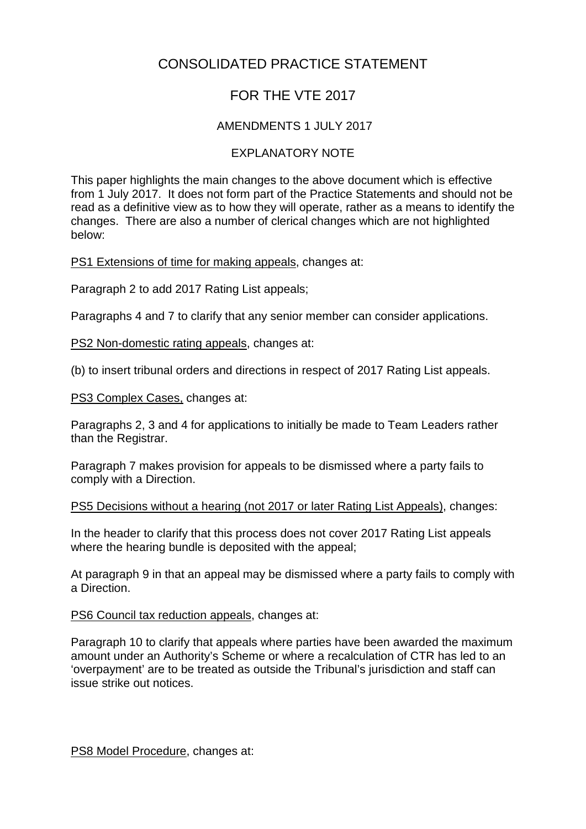## CONSOLIDATED PRACTICE STATEMENT

## FOR THE VTE 2017

## AMENDMENTS 1 JULY 2017

## EXPLANATORY NOTE

This paper highlights the main changes to the above document which is effective from 1 July 2017. It does not form part of the Practice Statements and should not be read as a definitive view as to how they will operate, rather as a means to identify the changes. There are also a number of clerical changes which are not highlighted below:

PS1 Extensions of time for making appeals, changes at:

Paragraph 2 to add 2017 Rating List appeals;

Paragraphs 4 and 7 to clarify that any senior member can consider applications.

PS2 Non-domestic rating appeals, changes at:

(b) to insert tribunal orders and directions in respect of 2017 Rating List appeals.

PS3 Complex Cases, changes at:

Paragraphs 2, 3 and 4 for applications to initially be made to Team Leaders rather than the Registrar.

Paragraph 7 makes provision for appeals to be dismissed where a party fails to comply with a Direction.

PS5 Decisions without a hearing (not 2017 or later Rating List Appeals), changes:

In the header to clarify that this process does not cover 2017 Rating List appeals where the hearing bundle is deposited with the appeal;

At paragraph 9 in that an appeal may be dismissed where a party fails to comply with a Direction.

PS6 Council tax reduction appeals, changes at:

Paragraph 10 to clarify that appeals where parties have been awarded the maximum amount under an Authority's Scheme or where a recalculation of CTR has led to an 'overpayment' are to be treated as outside the Tribunal's jurisdiction and staff can issue strike out notices.

PS8 Model Procedure, changes at: